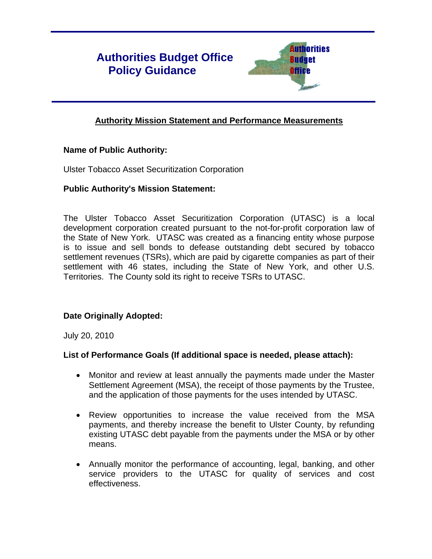# **Authorities Budget Office Policy Guidance**



# **Authority Mission Statement and Performance Measurements**

# **Name of Public Authority:**

Ulster Tobacco Asset Securitization Corporation

#### **Public Authority's Mission Statement:**

The Ulster Tobacco Asset Securitization Corporation (UTASC) is a local development corporation created pursuant to the not-for-profit corporation law of the State of New York. UTASC was created as a financing entity whose purpose is to issue and sell bonds to defease outstanding debt secured by tobacco settlement revenues (TSRs), which are paid by cigarette companies as part of their settlement with 46 states, including the State of New York, and other U.S. Territories. The County sold its right to receive TSRs to UTASC.

# **Date Originally Adopted:**

July 20, 2010

# **List of Performance Goals (If additional space is needed, please attach):**

- Monitor and review at least annually the payments made under the Master Settlement Agreement (MSA), the receipt of those payments by the Trustee, and the application of those payments for the uses intended by UTASC.
- Review opportunities to increase the value received from the MSA payments, and thereby increase the benefit to Ulster County, by refunding existing UTASC debt payable from the payments under the MSA or by other means.
- Annually monitor the performance of accounting, legal, banking, and other service providers to the UTASC for quality of services and cost effectiveness.